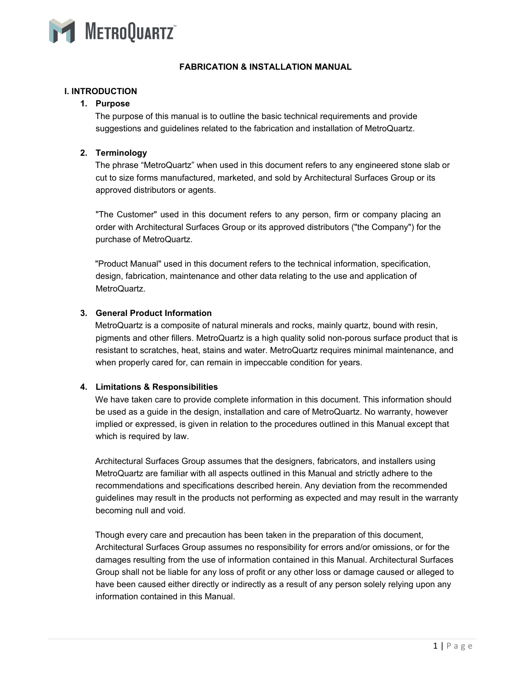

# **FABRICATION & INSTALLATION MANUAL**

# **I. INTRODUCTION**

### **1. Purpose**

The purpose of this manual is to outline the basic technical requirements and provide suggestions and guidelines related to the fabrication and installation of MetroQuartz.

# **2. Terminology**

The phrase "MetroQuartz" when used in this document refers to any engineered stone slab or cut to size forms manufactured, marketed, and sold by Architectural Surfaces Group or its approved distributors or agents.

"The Customer" used in this document refers to any person, firm or company placing an order with Architectural Surfaces Group or its approved distributors ("the Company") for the purchase of MetroQuartz.

"Product Manual" used in this document refers to the technical information, specification, design, fabrication, maintenance and other data relating to the use and application of MetroQuartz.

# **3. General Product Information**

MetroQuartz is a composite of natural minerals and rocks, mainly quartz, bound with resin, pigments and other fillers. MetroQuartz is a high quality solid non-porous surface product that is resistant to scratches, heat, stains and water. MetroQuartz requires minimal maintenance, and when properly cared for, can remain in impeccable condition for years.

# **4. Limitations & Responsibilities**

We have taken care to provide complete information in this document. This information should be used as a guide in the design, installation and care of MetroQuartz. No warranty, however implied or expressed, is given in relation to the procedures outlined in this Manual except that which is required by law.

Architectural Surfaces Group assumes that the designers, fabricators, and installers using MetroQuartz are familiar with all aspects outlined in this Manual and strictly adhere to the recommendations and specifications described herein. Any deviation from the recommended guidelines may result in the products not performing as expected and may result in the warranty becoming null and void.

Though every care and precaution has been taken in the preparation of this document, Architectural Surfaces Group assumes no responsibility for errors and/or omissions, or for the damages resulting from the use of information contained in this Manual. Architectural Surfaces Group shall not be liable for any loss of profit or any other loss or damage caused or alleged to have been caused either directly or indirectly as a result of any person solely relying upon any information contained in this Manual.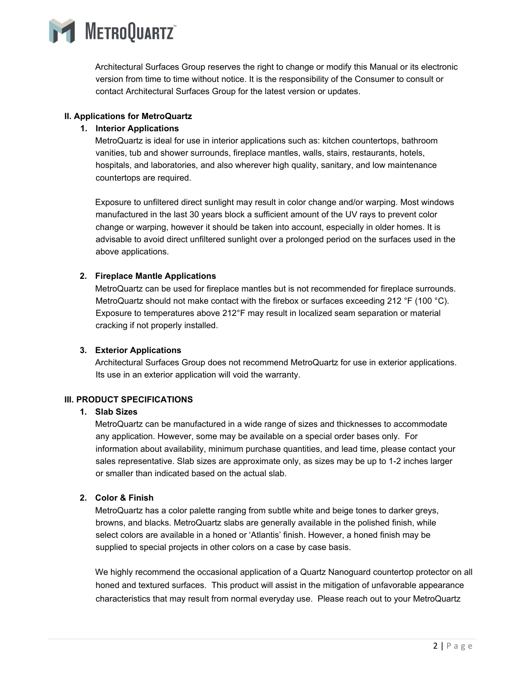

Architectural Surfaces Group reserves the right to change or modify this Manual or its electronic version from time to time without notice. It is the responsibility of the Consumer to consult or contact Architectural Surfaces Group for the latest version or updates.

# **II. Applications for MetroQuartz**

# **1. Interior Applications**

MetroQuartz is ideal for use in interior applications such as: kitchen countertops, bathroom vanities, tub and shower surrounds, fireplace mantles, walls, stairs, restaurants, hotels, hospitals, and laboratories, and also wherever high quality, sanitary, and low maintenance countertops are required.

Exposure to unfiltered direct sunlight may result in color change and/or warping. Most windows manufactured in the last 30 years block a sufficient amount of the UV rays to prevent color change or warping, however it should be taken into account, especially in older homes. It is advisable to avoid direct unfiltered sunlight over a prolonged period on the surfaces used in the above applications.

# **2. Fireplace Mantle Applications**

MetroQuartz can be used for fireplace mantles but is not recommended for fireplace surrounds. MetroQuartz should not make contact with the firebox or surfaces exceeding 212 °F (100 °C). Exposure to temperatures above 212°F may result in localized seam separation or material cracking if not properly installed.

# **3. Exterior Applications**

Architectural Surfaces Group does not recommend MetroQuartz for use in exterior applications. Its use in an exterior application will void the warranty.

# **III. PRODUCT SPECIFICATIONS**

#### **1. Slab Sizes**

MetroQuartz can be manufactured in a wide range of sizes and thicknesses to accommodate any application. However, some may be available on a special order bases only. For information about availability, minimum purchase quantities, and lead time, please contact your sales representative. Slab sizes are approximate only, as sizes may be up to 1-2 inches larger or smaller than indicated based on the actual slab.

# **2. Color & Finish**

MetroQuartz has a color palette ranging from subtle white and beige tones to darker greys, browns, and blacks. MetroQuartz slabs are generally available in the polished finish, while select colors are available in a honed or 'Atlantis' finish. However, a honed finish may be supplied to special projects in other colors on a case by case basis.

We highly recommend the occasional application of a Quartz Nanoguard countertop protector on all honed and textured surfaces. This product will assist in the mitigation of unfavorable appearance characteristics that may result from normal everyday use. Please reach out to your MetroQuartz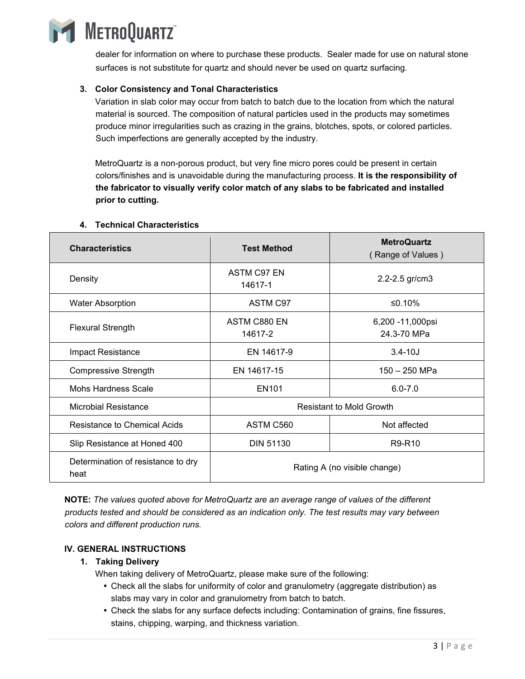

dealer for information on where to purchase these products. Sealer made for use on natural stone surfaces is not substitute for quartz and should never be used on quartz surfacing.

# **3. Color Consistency and Tonal Characteristics**

Variation in slab color may occur from batch to batch due to the location from which the natural material is sourced. The composition of natural particles used in the products may sometimes produce minor irregularities such as crazing in the grains, blotches, spots, or colored particles. Such imperfections are generally accepted by the industry.

MetroQuartz is a non-porous product, but very fine micro pores could be present in certain colors/finishes and is unavoidable during the manufacturing process. **It is the responsibility of the fabricator to visually verify color match of any slabs to be fabricated and installed prior to cutting.** 

| <b>Characteristics</b>                     | <b>Test Method</b>              | <b>MetroQuartz</b><br>(Range of Values) |
|--------------------------------------------|---------------------------------|-----------------------------------------|
| Density                                    | ASTM C97 EN<br>14617-1          | 2.2-2.5 gr/cm3                          |
| <b>Water Absorption</b>                    | ASTM C97                        | ≤0.10%                                  |
| <b>Flexural Strength</b>                   | ASTM C880 EN<br>14617-2         | 6,200 - 11,000 psi<br>24.3-70 MPa       |
| Impact Resistance                          | EN 14617-9                      | $3.4 - 10J$                             |
| <b>Compressive Strength</b>                | EN 14617-15                     | 150 - 250 MPa                           |
| Mohs Hardness Scale                        | EN <sub>101</sub>               | $6.0 - 7.0$                             |
| <b>Microbial Resistance</b>                | <b>Resistant to Mold Growth</b> |                                         |
| Resistance to Chemical Acids               | ASTM C560                       | Not affected                            |
| Slip Resistance at Honed 400               | <b>DIN 51130</b>                | R9-R10                                  |
| Determination of resistance to dry<br>heat | Rating A (no visible change)    |                                         |

# **4. Technical Characteristics**

**NOTE:** *The values quoted above for MetroQuartz are an average range of values of the different products tested and should be considered as an indication only. The test results may vary between colors and different production runs.* 

# **IV. GENERAL INSTRUCTIONS**

- **1. Taking Delivery** 
	- When taking delivery of MetroQuartz, please make sure of the following:
		- Check all the slabs for uniformity of color and granulometry (aggregate distribution) as slabs may vary in color and granulometry from batch to batch.
		- Check the slabs for any surface defects including: Contamination of grains, fine fissures, stains, chipping, warping, and thickness variation.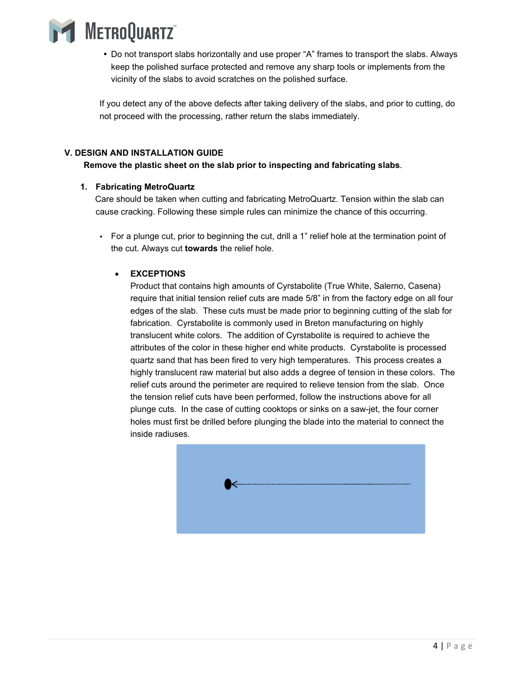

 Do not transport slabs horizontally and use proper "A" frames to transport the slabs. Always keep the polished surface protected and remove any sharp tools or implements from the vicinity of the slabs to avoid scratches on the polished surface.

If you detect any of the above defects after taking delivery of the slabs, and prior to cutting, do not proceed with the processing, rather return the slabs immediately.

# **V. DESIGN AND INSTALLATION GUIDE**

# **Remove the plastic sheet on the slab prior to inspecting and fabricating slabs.**

# **1. Fabricating MetroQuartz**

Care should be taken when cutting and fabricating MetroQuartz. Tension within the slab can cause cracking. Following these simple rules can minimize the chance of this occurring.

 For a plunge cut, prior to beginning the cut, drill a 1" relief hole at the termination point of the cut. Always cut **towards** the relief hole.

# **EXCEPTIONS**

Product that contains high amounts of Cyrstabolite (True White, Salerno, Casena) require that initial tension relief cuts are made 5/8" in from the factory edge on all four edges of the slab. These cuts must be made prior to beginning cutting of the slab for fabrication. Cyrstabolite is commonly used in Breton manufacturing on highly translucent white colors. The addition of Cyrstabolite is required to achieve the attributes of the color in these higher end white products. Cyrstabolite is processed quartz sand that has been fired to very high temperatures. This process creates a highly translucent raw material but also adds a degree of tension in these colors. The relief cuts around the perimeter are required to relieve tension from the slab. Once the tension relief cuts have been performed, follow the instructions above for all plunge cuts. In the case of cutting cooktops or sinks on a saw-jet, the four corner holes must first be drilled before plunging the blade into the material to connect the inside radiuses.

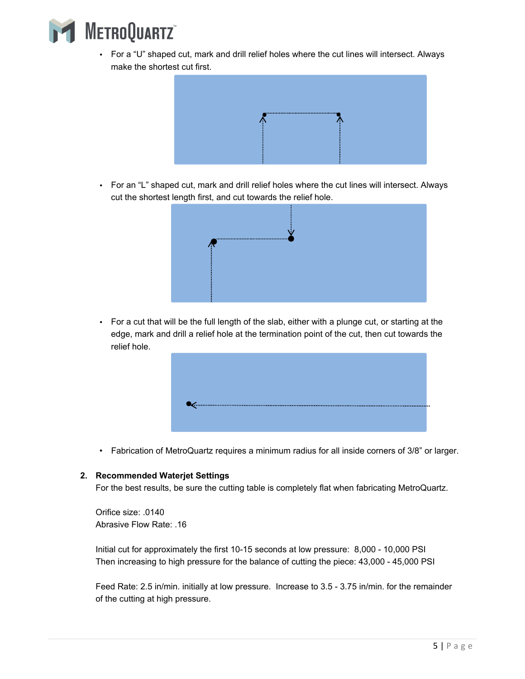

 For a "U" shaped cut, mark and drill relief holes where the cut lines will intersect. Always make the shortest cut first.



 For an "L" shaped cut, mark and drill relief holes where the cut lines will intersect. Always cut the shortest length first, and cut towards the relief hole.



 For a cut that will be the full length of the slab, either with a plunge cut, or starting at the edge, mark and drill a relief hole at the termination point of the cut, then cut towards the relief hole.



• Fabrication of MetroQuartz requires a minimum radius for all inside corners of 3/8" or larger.

#### **2. Recommended Waterjet Settings**

For the best results, be sure the cutting table is completely flat when fabricating MetroQuartz.

Orifice size: .0140 Abrasive Flow Rate: .16

Initial cut for approximately the first 10-15 seconds at low pressure: 8,000 - 10,000 PSI Then increasing to high pressure for the balance of cutting the piece: 43,000 - 45,000 PSI

Feed Rate: 2.5 in/min. initially at low pressure. Increase to 3.5 - 3.75 in/min. for the remainder of the cutting at high pressure.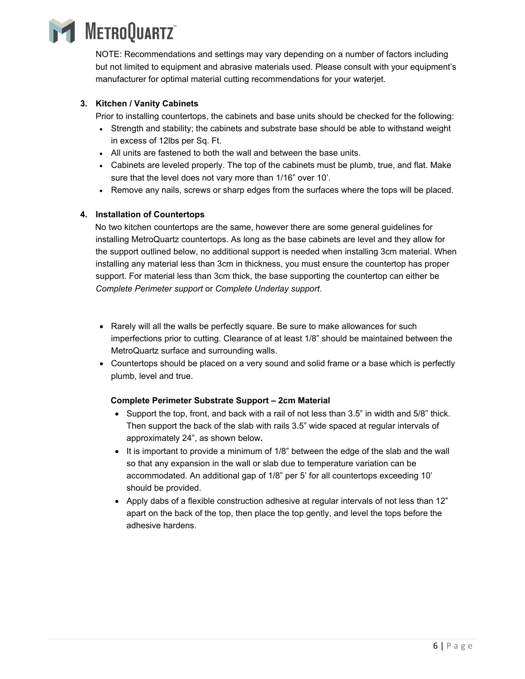

NOTE: Recommendations and settings may vary depending on a number of factors including but not limited to equipment and abrasive materials used. Please consult with your equipment's manufacturer for optimal material cutting recommendations for your waterjet.

# **3. Kitchen / Vanity Cabinets**

Prior to installing countertops, the cabinets and base units should be checked for the following:

- Strength and stability; the cabinets and substrate base should be able to withstand weight in excess of 12lbs per Sq. Ft.
- All units are fastened to both the wall and between the base units.
- Cabinets are leveled properly. The top of the cabinets must be plumb, true, and flat. Make sure that the level does not vary more than 1/16" over 10'.
- Remove any nails, screws or sharp edges from the surfaces where the tops will be placed.

# **4. Installation of Countertops**

No two kitchen countertops are the same, however there are some general guidelines for installing MetroQuartz countertops. As long as the base cabinets are level and they allow for the support outlined below, no additional support is needed when installing 3cm material. When installing any material less than 3cm in thickness, you must ensure the countertop has proper support. For material less than 3cm thick, the base supporting the countertop can either be *Complete Perimeter support* or *Complete Underlay support*.

- Rarely will all the walls be perfectly square. Be sure to make allowances for such imperfections prior to cutting. Clearance of at least 1/8" should be maintained between the MetroQuartz surface and surrounding walls.
- Countertops should be placed on a very sound and solid frame or a base which is perfectly plumb, level and true.

# **Complete Perimeter Substrate Support – 2cm Material**

- $\bullet$  Support the top, front, and back with a rail of not less than 3.5" in width and 5/8" thick. Then support the back of the slab with rails 3.5" wide spaced at regular intervals of approximately 24", as shown below**.**
- It is important to provide a minimum of  $1/8$ " between the edge of the slab and the wall so that any expansion in the wall or slab due to temperature variation can be accommodated. An additional gap of 1/8" per 5' for all countertops exceeding 10' should be provided.
- Apply dabs of a flexible construction adhesive at regular intervals of not less than 12" apart on the back of the top, then place the top gently, and level the tops before the adhesive hardens.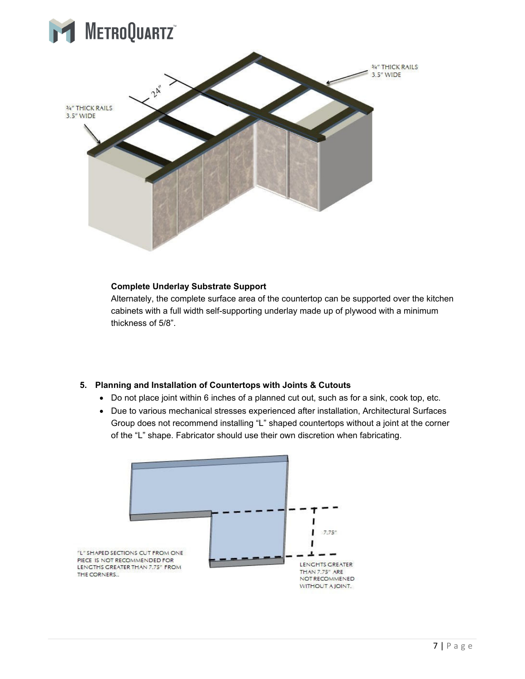



#### **Complete Underlay Substrate Support**

Alternately, the complete surface area of the countertop can be supported over the kitchen cabinets with a full width self-supporting underlay made up of plywood with a minimum thickness of 5/8".

# **5. Planning and Installation of Countertops with Joints & Cutouts**

- Do not place joint within 6 inches of a planned cut out, such as for a sink, cook top, etc.
- Due to various mechanical stresses experienced after installation, Architectural Surfaces Group does not recommend installing "L" shaped countertops without a joint at the corner of the "L" shape. Fabricator should use their own discretion when fabricating.

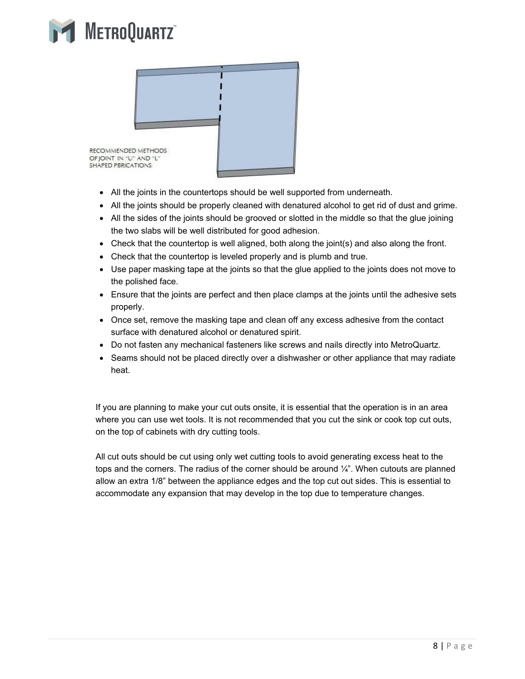



- All the joints in the countertops should be well supported from underneath.
- All the joints should be properly cleaned with denatured alcohol to get rid of dust and grime.
- All the sides of the joints should be grooved or slotted in the middle so that the glue joining the two slabs will be well distributed for good adhesion.
- $\bullet$  Check that the countertop is well aligned, both along the joint(s) and also along the front.
- Check that the countertop is leveled properly and is plumb and true.
- Use paper masking tape at the joints so that the glue applied to the joints does not move to the polished face.
- Ensure that the joints are perfect and then place clamps at the joints until the adhesive sets properly.
- Once set, remove the masking tape and clean off any excess adhesive from the contact surface with denatured alcohol or denatured spirit.
- Do not fasten any mechanical fasteners like screws and nails directly into MetroQuartz.
- Seams should not be placed directly over a dishwasher or other appliance that may radiate heat.

If you are planning to make your cut outs onsite, it is essential that the operation is in an area where you can use wet tools. It is not recommended that you cut the sink or cook top cut outs, on the top of cabinets with dry cutting tools.

All cut outs should be cut using only wet cutting tools to avoid generating excess heat to the tops and the corners. The radius of the corner should be around  $\frac{1}{4}$ ". When cutouts are planned allow an extra 1/8" between the appliance edges and the top cut out sides. This is essential to accommodate any expansion that may develop in the top due to temperature changes.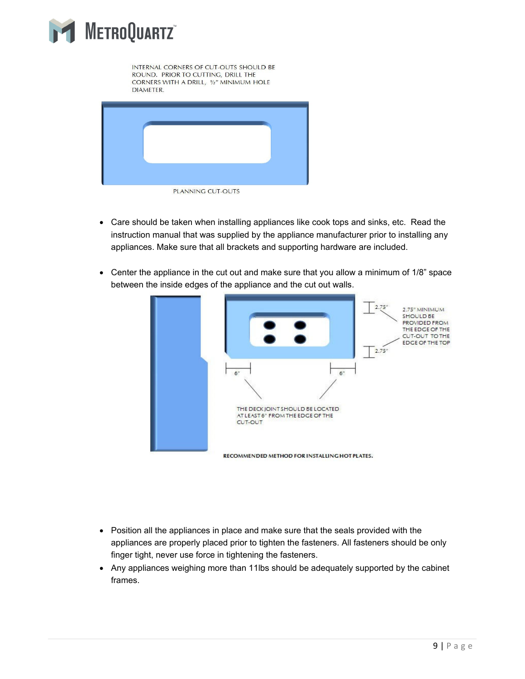

INTERNAL CORNERS OF CUT-OUTS SHOULD BE ROUND. PRIOR TO CUTTING, DRILL THE CORNERS WITH A DRILL, 1/2" MINIMUM HOLE **DIAMETER.** 



- Care should be taken when installing appliances like cook tops and sinks, etc. Read the instruction manual that was supplied by the appliance manufacturer prior to installing any appliances. Make sure that all brackets and supporting hardware are included.
- Center the appliance in the cut out and make sure that you allow a minimum of 1/8" space between the inside edges of the appliance and the cut out walls.



- Position all the appliances in place and make sure that the seals provided with the appliances are properly placed prior to tighten the fasteners. All fasteners should be only finger tight, never use force in tightening the fasteners.
- Any appliances weighing more than 11lbs should be adequately supported by the cabinet frames.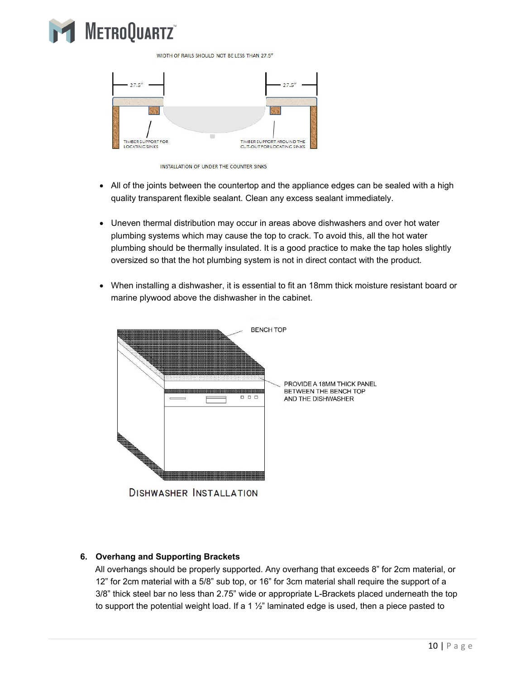

WIDTH OF RAILS SHOULD NOT BE LESS THAN 27.5"



INSTALLATION OF UNDER THE COUNTER SINKS

- All of the joints between the countertop and the appliance edges can be sealed with a high quality transparent flexible sealant. Clean any excess sealant immediately.
- Uneven thermal distribution may occur in areas above dishwashers and over hot water plumbing systems which may cause the top to crack. To avoid this, all the hot water plumbing should be thermally insulated. It is a good practice to make the tap holes slightly oversized so that the hot plumbing system is not in direct contact with the product.
- When installing a dishwasher, it is essential to fit an 18mm thick moisture resistant board or marine plywood above the dishwasher in the cabinet.



**DISHWASHER INSTALLATION** 

# **6. Overhang and Supporting Brackets**

All overhangs should be properly supported. Any overhang that exceeds 8" for 2cm material, or 12" for 2cm material with a 5/8" sub top, or 16" for 3cm material shall require the support of a 3/8" thick steel bar no less than 2.75" wide or appropriate L-Brackets placed underneath the top to support the potential weight load. If a 1  $\frac{1}{2}$ " laminated edge is used, then a piece pasted to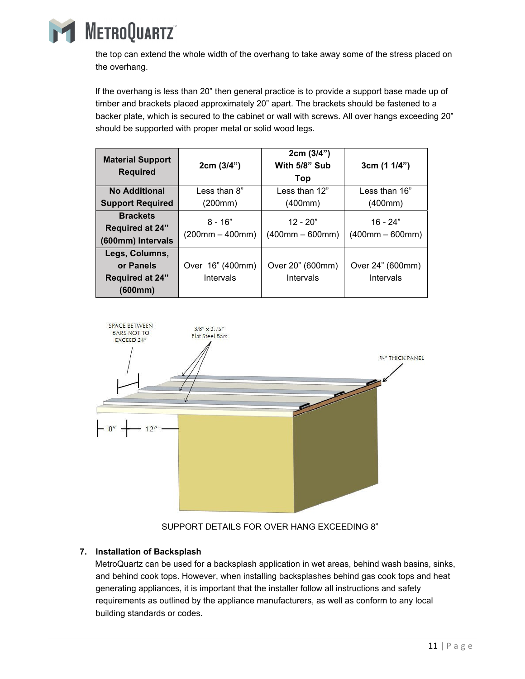

the top can extend the whole width of the overhang to take away some of the stress placed on the overhang.

If the overhang is less than 20" then general practice is to provide a support base made up of timber and brackets placed approximately 20" apart. The brackets should be fastened to a backer plate, which is secured to the cabinet or wall with screws. All over hangs exceeding 20" should be supported with proper metal or solid wood legs.

| <b>Material Support</b><br><b>Required</b>                       | 2cm (3/4")                     | 2cm (3/4")<br>With 5/8" Sub<br>Top | 3cm(11/4")                      |
|------------------------------------------------------------------|--------------------------------|------------------------------------|---------------------------------|
| <b>No Additional</b>                                             | Less than 8"                   | Less than $12"$                    | Less than 16"                   |
| <b>Support Required</b>                                          | (200mm)                        | (400mm)                            | (400mm)                         |
| <b>Brackets</b><br><b>Required at 24"</b><br>(600mm) Intervals   | $8 - 16"$<br>$(200mm - 400mm)$ | $12 - 20"$<br>$(400mm - 600mm)$    | $16 - 24"$<br>$(400mm - 600mm)$ |
| Legs, Columns,<br>or Panels<br><b>Required at 24"</b><br>(600mm) | Over 16" (400mm)<br>Intervals  | Over 20" (600mm)<br>Intervals      | Over 24" (600mm)<br>Intervals   |



# SUPPORT DETAILS FOR OVER HANG EXCEEDING 8"

# **7. Installation of Backsplash**

MetroQuartz can be used for a backsplash application in wet areas, behind wash basins, sinks, and behind cook tops. However, when installing backsplashes behind gas cook tops and heat generating appliances, it is important that the installer follow all instructions and safety requirements as outlined by the appliance manufacturers, as well as conform to any local building standards or codes.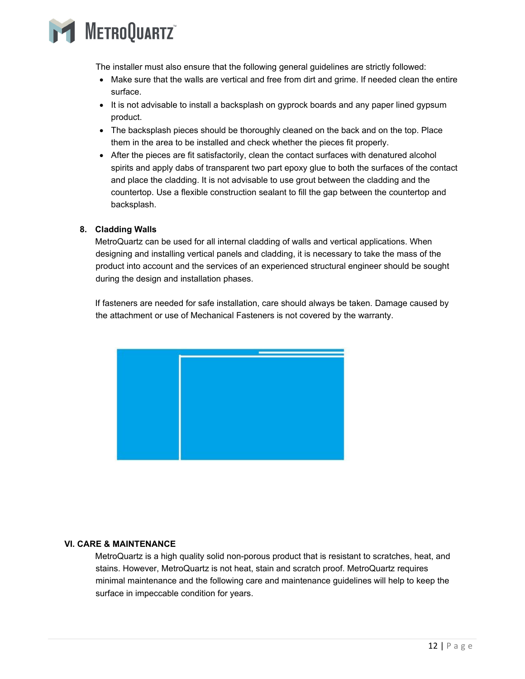

The installer must also ensure that the following general guidelines are strictly followed:

- Make sure that the walls are vertical and free from dirt and grime. If needed clean the entire surface.
- It is not advisable to install a backsplash on gyprock boards and any paper lined gypsum product.
- The backsplash pieces should be thoroughly cleaned on the back and on the top. Place them in the area to be installed and check whether the pieces fit properly.
- After the pieces are fit satisfactorily, clean the contact surfaces with denatured alcohol spirits and apply dabs of transparent two part epoxy glue to both the surfaces of the contact and place the cladding. It is not advisable to use grout between the cladding and the countertop. Use a flexible construction sealant to fill the gap between the countertop and backsplash.

# **8. Cladding Walls**

MetroQuartz can be used for all internal cladding of walls and vertical applications. When designing and installing vertical panels and cladding, it is necessary to take the mass of the product into account and the services of an experienced structural engineer should be sought during the design and installation phases.

If fasteners are needed for safe installation, care should always be taken. Damage caused by the attachment or use of Mechanical Fasteners is not covered by the warranty.

|  | and the state of the state of the state of the state of the state of the state of the state of the state of th                  |
|--|---------------------------------------------------------------------------------------------------------------------------------|
|  | $\mathcal{L}^{\text{max}}_{\text{max}}$ and $\mathcal{L}^{\text{max}}_{\text{max}}$ and $\mathcal{L}^{\text{max}}_{\text{max}}$ |
|  | and the state of the state of the state of the state of the state of the state of the state of the state of the                 |
|  |                                                                                                                                 |
|  |                                                                                                                                 |

# **VI. CARE & MAINTENANCE**

MetroQuartz is a high quality solid non-porous product that is resistant to scratches, heat, and stains. However, MetroQuartz is not heat, stain and scratch proof. MetroQuartz requires minimal maintenance and the following care and maintenance guidelines will help to keep the surface in impeccable condition for years.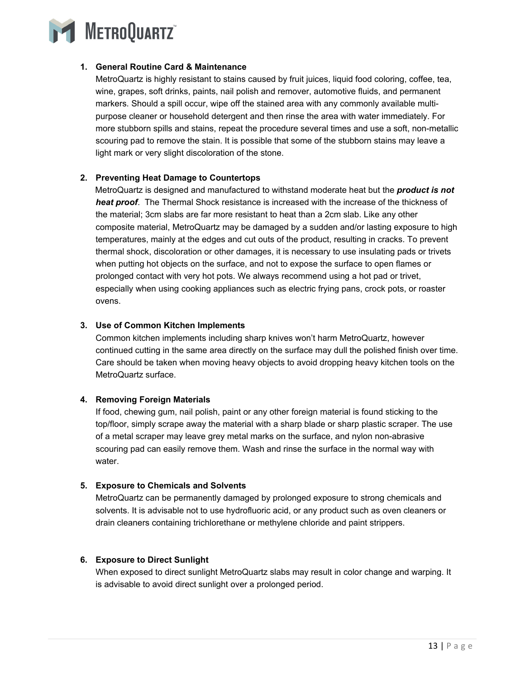

# **1. General Routine Card & Maintenance**

MetroQuartz is highly resistant to stains caused by fruit juices, liquid food coloring, coffee, tea, wine, grapes, soft drinks, paints, nail polish and remover, automotive fluids, and permanent markers. Should a spill occur, wipe off the stained area with any commonly available multipurpose cleaner or household detergent and then rinse the area with water immediately. For more stubborn spills and stains, repeat the procedure several times and use a soft, non-metallic scouring pad to remove the stain. It is possible that some of the stubborn stains may leave a light mark or very slight discoloration of the stone.

# **2. Preventing Heat Damage to Countertops**

MetroQuartz is designed and manufactured to withstand moderate heat but the *product is not heat proof*. The Thermal Shock resistance is increased with the increase of the thickness of the material; 3cm slabs are far more resistant to heat than a 2cm slab. Like any other composite material, MetroQuartz may be damaged by a sudden and/or lasting exposure to high temperatures, mainly at the edges and cut outs of the product, resulting in cracks. To prevent thermal shock, discoloration or other damages, it is necessary to use insulating pads or trivets when putting hot objects on the surface, and not to expose the surface to open flames or prolonged contact with very hot pots. We always recommend using a hot pad or trivet, especially when using cooking appliances such as electric frying pans, crock pots, or roaster ovens.

# **3. Use of Common Kitchen Implements**

Common kitchen implements including sharp knives won't harm MetroQuartz, however continued cutting in the same area directly on the surface may dull the polished finish over time. Care should be taken when moving heavy objects to avoid dropping heavy kitchen tools on the MetroQuartz surface.

# **4. Removing Foreign Materials**

If food, chewing gum, nail polish, paint or any other foreign material is found sticking to the top/floor, simply scrape away the material with a sharp blade or sharp plastic scraper. The use of a metal scraper may leave grey metal marks on the surface, and nylon non-abrasive scouring pad can easily remove them. Wash and rinse the surface in the normal way with water.

# **5. Exposure to Chemicals and Solvents**

MetroQuartz can be permanently damaged by prolonged exposure to strong chemicals and solvents. It is advisable not to use hydrofluoric acid, or any product such as oven cleaners or drain cleaners containing trichlorethane or methylene chloride and paint strippers.

# **6. Exposure to Direct Sunlight**

When exposed to direct sunlight MetroQuartz slabs may result in color change and warping. It is advisable to avoid direct sunlight over a prolonged period.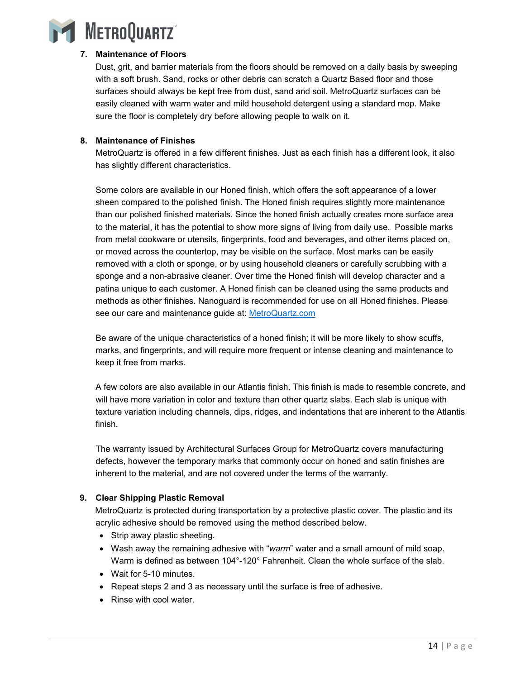

# **7. Maintenance of Floors**

Dust, grit, and barrier materials from the floors should be removed on a daily basis by sweeping with a soft brush. Sand, rocks or other debris can scratch a Quartz Based floor and those surfaces should always be kept free from dust, sand and soil. MetroQuartz surfaces can be easily cleaned with warm water and mild household detergent using a standard mop. Make sure the floor is completely dry before allowing people to walk on it.

# **8. Maintenance of Finishes**

MetroQuartz is offered in a few different finishes. Just as each finish has a different look, it also has slightly different characteristics.

Some colors are available in our Honed finish, which offers the soft appearance of a lower sheen compared to the polished finish. The Honed finish requires slightly more maintenance than our polished finished materials. Since the honed finish actually creates more surface area to the material, it has the potential to show more signs of living from daily use. Possible marks from metal cookware or utensils, fingerprints, food and beverages, and other items placed on, or moved across the countertop, may be visible on the surface. Most marks can be easily removed with a cloth or sponge, or by using household cleaners or carefully scrubbing with a sponge and a non-abrasive cleaner. Over time the Honed finish will develop character and a patina unique to each customer. A Honed finish can be cleaned using the same products and methods as other finishes. Nanoguard is recommended for use on all Honed finishes. Please see our care and maintenance guide at: MetroQuartz.com

Be aware of the unique characteristics of a honed finish; it will be more likely to show scuffs, marks, and fingerprints, and will require more frequent or intense cleaning and maintenance to keep it free from marks.

A few colors are also available in our Atlantis finish. This finish is made to resemble concrete, and will have more variation in color and texture than other quartz slabs. Each slab is unique with texture variation including channels, dips, ridges, and indentations that are inherent to the Atlantis finish.

The warranty issued by Architectural Surfaces Group for MetroQuartz covers manufacturing defects, however the temporary marks that commonly occur on honed and satin finishes are inherent to the material, and are not covered under the terms of the warranty.

# **9. Clear Shipping Plastic Removal**

MetroQuartz is protected during transportation by a protective plastic cover. The plastic and its acrylic adhesive should be removed using the method described below.

- Strip away plastic sheeting.
- Wash away the remaining adhesive with "*warm*" water and a small amount of mild soap. Warm is defined as between 104°-120° Fahrenheit. Clean the whole surface of the slab.
- Wait for 5-10 minutes.
- Repeat steps 2 and 3 as necessary until the surface is free of adhesive.
- Rinse with cool water.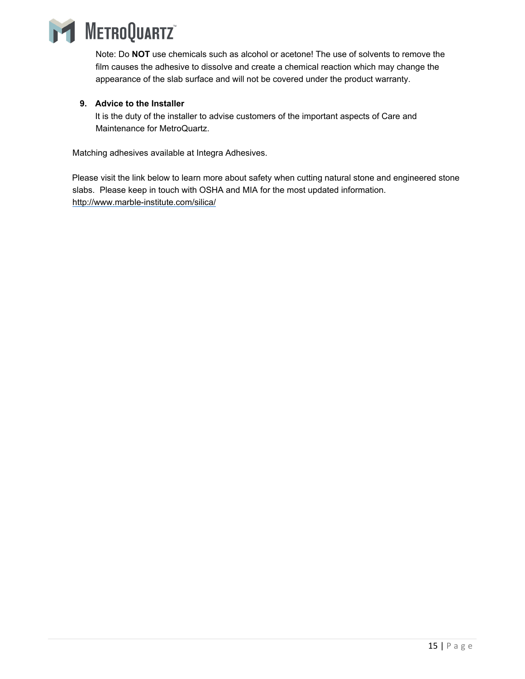

Note: Do **NOT** use chemicals such as alcohol or acetone! The use of solvents to remove the film causes the adhesive to dissolve and create a chemical reaction which may change the appearance of the slab surface and will not be covered under the product warranty.

# **9. Advice to the Installer**

It is the duty of the installer to advise customers of the important aspects of Care and Maintenance for MetroQuartz.

Matching adhesives available at Integra Adhesives.

Please visit the link below to learn more about safety when cutting natural stone and engineered stone slabs. Please keep in touch with OSHA and MIA for the most updated information. http://www.marble-institute.com/silica/